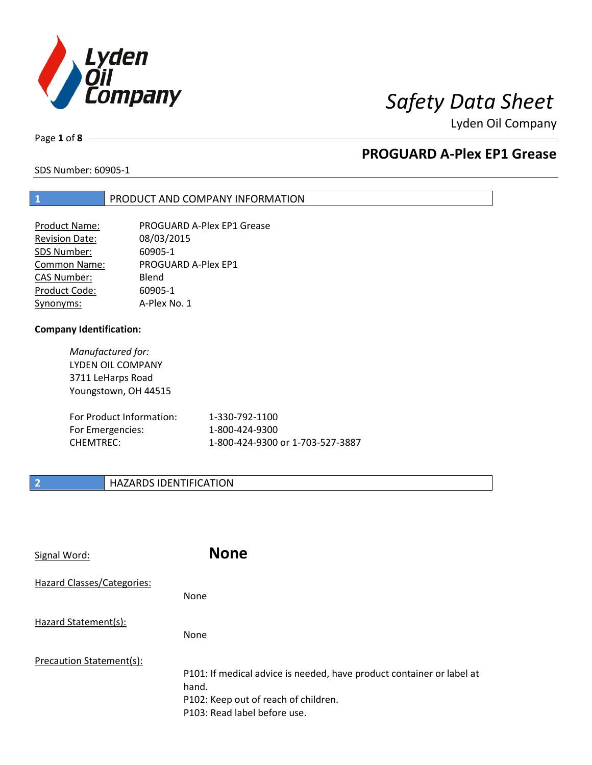

Page **1** of **8**

# **PROGUARD A-Plex EP1 Grease**

SDS Number: 60905-1

## **1** PRODUCT AND COMPANY INFORMATION

| <b>Product Name:</b>  | PROGUARD A-Plex EP1 Grease |
|-----------------------|----------------------------|
| <b>Revision Date:</b> | 08/03/2015                 |
| SDS Number:           | 60905-1                    |
| <b>Common Name:</b>   | PROGUARD A-Plex EP1        |
| <b>CAS Number:</b>    | Blend                      |
| Product Code:         | 60905-1                    |
| Synonyms:             | A-Plex No. 1               |

### **Company Identification:**

*Manufactured for:* LYDEN OIL COMPANY 3711 LeHarps Road Youngstown, OH 44515

| For Product Information: | 1-330-792-1100                   |
|--------------------------|----------------------------------|
| For Emergencies:         | 1-800-424-9300                   |
| CHEMTREC:                | 1-800-424-9300 or 1-703-527-3887 |

# **2 HAZARDS IDENTIFICATION**

| Signal Word:               | <b>None</b>                                                                                                                                            |
|----------------------------|--------------------------------------------------------------------------------------------------------------------------------------------------------|
| Hazard Classes/Categories: | <b>None</b>                                                                                                                                            |
| Hazard Statement(s):       | <b>None</b>                                                                                                                                            |
| Precaution Statement(s):   | P101: If medical advice is needed, have product container or label at<br>hand.<br>P102: Keep out of reach of children.<br>P103: Read label before use. |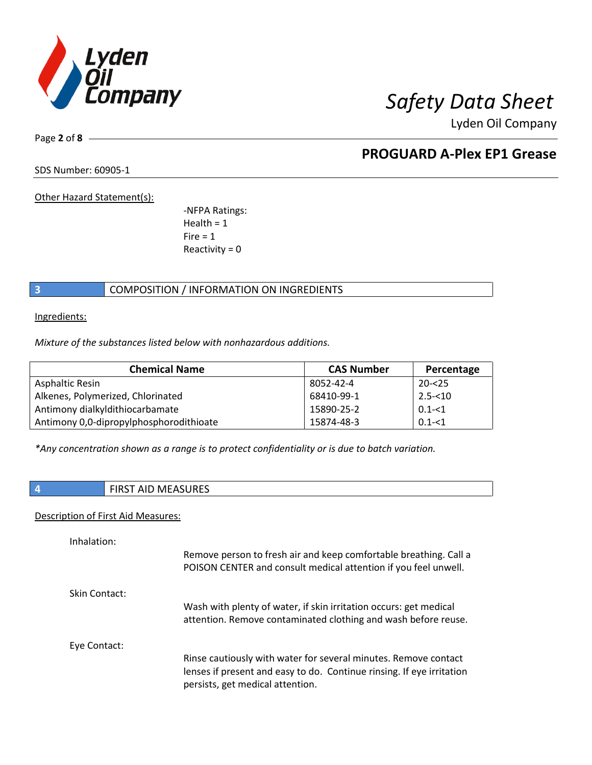

Page **2** of **8**

# **PROGUARD A-Plex EP1 Grease**

SDS Number: 60905-1

Other Hazard Statement(s):

-NFPA Ratings:  $Health = 1$  $Fire = 1$ Reactivity  $= 0$ 

# **3** COMPOSITION / INFORMATION ON INGREDIENTS

Ingredients:

*Mixture of the substances listed below with nonhazardous additions.*

| <b>Chemical Name</b>                    | <b>CAS Number</b> | Percentage |
|-----------------------------------------|-------------------|------------|
| Asphaltic Resin                         | 8052-42-4         | $20 - 25$  |
| Alkenes, Polymerized, Chlorinated       | 68410-99-1        | $2.5 - 10$ |
| Antimony dialkyldithiocarbamate         | 15890-25-2        | $0.1 - 1$  |
| Antimony 0,0-dipropylphosphorodithioate | 15874-48-3        | $0.1 - 51$ |

*\*Any concentration shown as a range is to protect confidentiality or is due to batch variation.*

## **4** FIRST AID MEASURES

### Description of First Aid Measures:

| Remove person to fresh air and keep comfortable breathing. Call a<br>POISON CENTER and consult medical attention if you feel unwell.                                         |
|------------------------------------------------------------------------------------------------------------------------------------------------------------------------------|
|                                                                                                                                                                              |
| Wash with plenty of water, if skin irritation occurs: get medical<br>attention. Remove contaminated clothing and wash before reuse.                                          |
|                                                                                                                                                                              |
| Rinse cautiously with water for several minutes. Remove contact<br>lenses if present and easy to do. Continue rinsing. If eye irritation<br>persists, get medical attention. |
|                                                                                                                                                                              |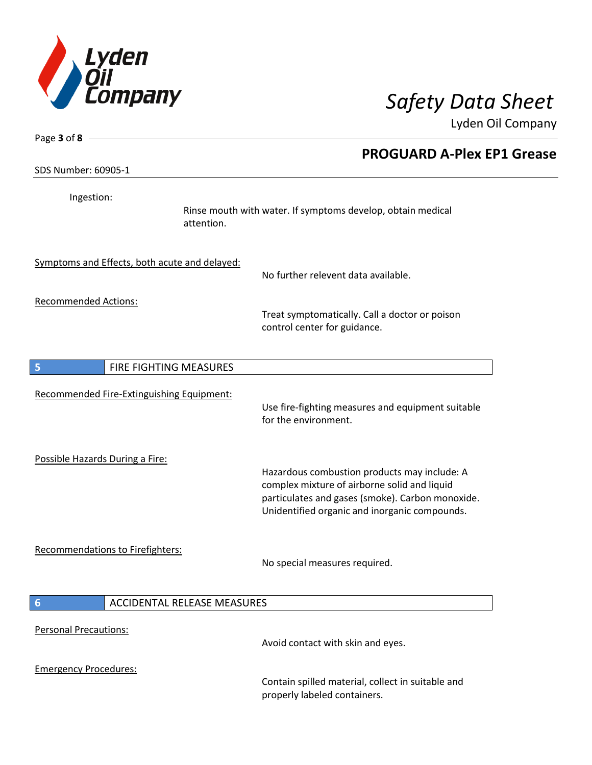

| Page $3$ of $8$ -                             |                                                                                                                                                                                                   |
|-----------------------------------------------|---------------------------------------------------------------------------------------------------------------------------------------------------------------------------------------------------|
| SDS Number: 60905-1                           | <b>PROGUARD A-Plex EP1 Grease</b>                                                                                                                                                                 |
| Ingestion:                                    | Rinse mouth with water. If symptoms develop, obtain medical<br>attention.                                                                                                                         |
| Symptoms and Effects, both acute and delayed: | No further relevent data available.                                                                                                                                                               |
| <b>Recommended Actions:</b>                   | Treat symptomatically. Call a doctor or poison<br>control center for guidance.                                                                                                                    |
| 5<br>FIRE FIGHTING MEASURES                   |                                                                                                                                                                                                   |
| Recommended Fire-Extinguishing Equipment:     | Use fire-fighting measures and equipment suitable<br>for the environment.                                                                                                                         |
| Possible Hazards During a Fire:               | Hazardous combustion products may include: A<br>complex mixture of airborne solid and liquid<br>particulates and gases (smoke). Carbon monoxide.<br>Unidentified organic and inorganic compounds. |
| Recommendations to Firefighters:              | No special measures required.                                                                                                                                                                     |
| 6                                             | <b>ACCIDENTAL RELEASE MEASURES</b>                                                                                                                                                                |
| <b>Personal Precautions:</b>                  | Avoid contact with skin and eyes.                                                                                                                                                                 |
| <b>Emergency Procedures:</b>                  | Contain spilled material, collect in suitable and<br>properly labeled containers.                                                                                                                 |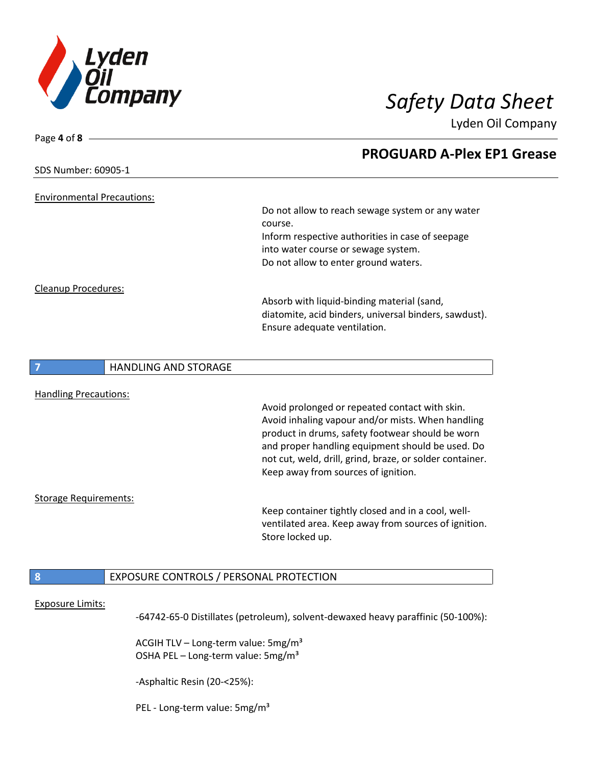

| Page 4 of 8 $\cdot$                          |                                                          |
|----------------------------------------------|----------------------------------------------------------|
|                                              | <b>PROGUARD A-Plex EP1 Grease</b>                        |
| SDS Number: 60905-1                          |                                                          |
|                                              |                                                          |
| <b>Environmental Precautions:</b>            |                                                          |
|                                              | Do not allow to reach sewage system or any water         |
|                                              | course.                                                  |
|                                              | Inform respective authorities in case of seepage         |
|                                              | into water course or sewage system.                      |
|                                              | Do not allow to enter ground waters.                     |
| Cleanup Procedures:                          |                                                          |
|                                              | Absorb with liquid-binding material (sand,               |
|                                              | diatomite, acid binders, universal binders, sawdust).    |
|                                              | Ensure adequate ventilation.                             |
|                                              |                                                          |
| <b>HANDLING AND STORAGE</b>                  |                                                          |
|                                              |                                                          |
| <b>Handling Precautions:</b>                 |                                                          |
|                                              | Avoid prolonged or repeated contact with skin.           |
|                                              | Avoid inhaling vapour and/or mists. When handling        |
|                                              | product in drums, safety footwear should be worn         |
|                                              | and proper handling equipment should be used. Do         |
|                                              | not cut, weld, drill, grind, braze, or solder container. |
|                                              | Keep away from sources of ignition.                      |
| <b>Storage Requirements:</b>                 |                                                          |
|                                              | Keep container tightly closed and in a cool, well-       |
|                                              | ventilated area. Keep away from sources of ignition.     |
|                                              | Store locked up.                                         |
|                                              |                                                          |
| 8<br>EXPOSURE CONTROLS / PERSONAL PROTECTION |                                                          |
|                                              |                                                          |
| <b>Exposure Limits:</b>                      |                                                          |

-64742-65-0 Distillates (petroleum), solvent-dewaxed heavy paraffinic (50-100%):

ACGIH TLV - Long-term value: 5mg/m<sup>3</sup> OSHA PEL - Long-term value: 5mg/m<sup>3</sup>

-Asphaltic Resin (20-<25%):

PEL - Long-term value: 5mg/m<sup>3</sup>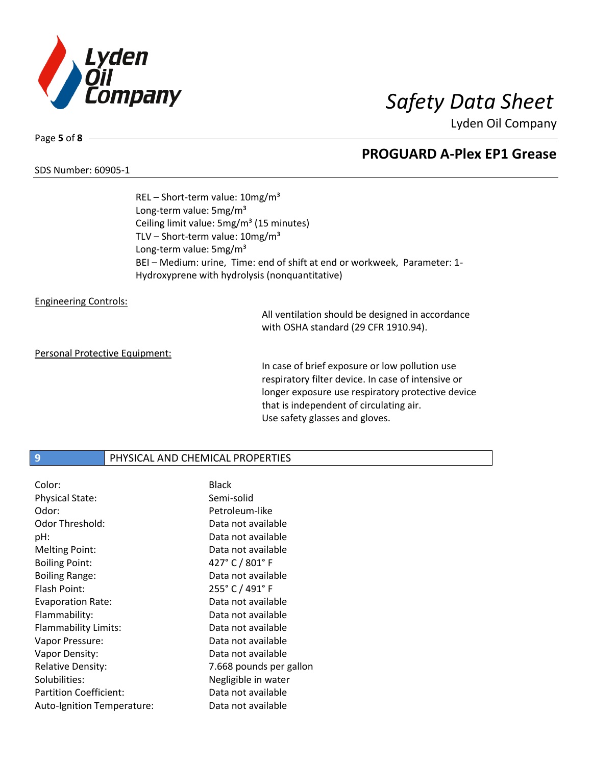

### SDS Number: 60905-1

Page **5** of **8**

# **PROGUARD A-Plex EP1 Grease**

REL – Short-term value: 10mg/m³ Long-term value: 5mg/m<sup>3</sup> Ceiling limit value: 5mg/m<sup>3</sup> (15 minutes) TLV – Short-term value:  $10mg/m^3$ Long-term value: 5mg/m<sup>3</sup> BEI – Medium: urine, Time: end of shift at end or workweek, Parameter: 1- Hydroxyprene with hydrolysis (nonquantitative)

### Engineering Controls:

All ventilation should be designed in accordance with OSHA standard (29 CFR 1910.94).

### Personal Protective Equipment:

In case of brief exposure or low pollution use respiratory filter device. In case of intensive or longer exposure use respiratory protective device that is independent of circulating air. Use safety glasses and gloves.

## **9** PHYSICAL AND CHEMICAL PROPERTIES

| Color:                        | <b>Black</b>            |
|-------------------------------|-------------------------|
| <b>Physical State:</b>        | Semi-solid              |
| Odor:                         | Petroleum-like          |
| Odor Threshold:               | Data not available      |
| pH:                           | Data not available      |
| <b>Melting Point:</b>         | Data not available      |
| <b>Boiling Point:</b>         | 427° C / 801° F         |
| <b>Boiling Range:</b>         | Data not available      |
| Flash Point:                  | 255° C / 491° F         |
| <b>Evaporation Rate:</b>      | Data not available      |
| Flammability:                 | Data not available      |
| Flammability Limits:          | Data not available      |
| Vapor Pressure:               | Data not available      |
| Vapor Density:                | Data not available      |
| <b>Relative Density:</b>      | 7.668 pounds per gallon |
| Solubilities:                 | Negligible in water     |
| <b>Partition Coefficient:</b> | Data not available      |
| Auto-Ignition Temperature:    | Data not available      |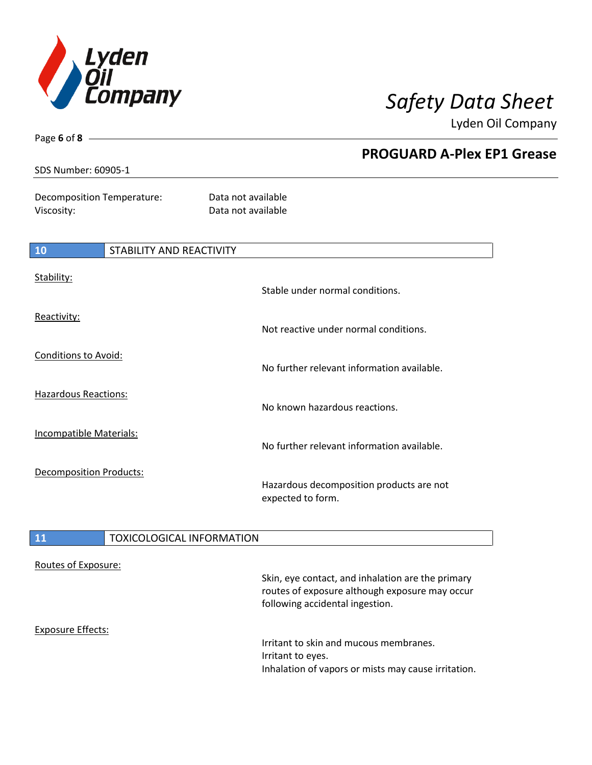

Page **6** of **8**

Lyden Oil Company

|                                          |                          | <b>PROGUARD A-Plex EP1 Grease</b>                             |  |
|------------------------------------------|--------------------------|---------------------------------------------------------------|--|
| SDS Number: 60905-1                      |                          |                                                               |  |
| Decomposition Temperature:<br>Viscosity: |                          | Data not available<br>Data not available                      |  |
| 10                                       | STABILITY AND REACTIVITY |                                                               |  |
| Stability:                               |                          | Stable under normal conditions.                               |  |
| Reactivity:                              |                          | Not reactive under normal conditions.                         |  |
| Conditions to Avoid:                     |                          | No further relevant information available.                    |  |
| Hazardous Reactions:                     |                          | No known hazardous reactions.                                 |  |
| <b>Incompatible Materials:</b>           |                          | No further relevant information available.                    |  |
| Decomposition Products:                  |                          | Hazardous decomposition products are not<br>expected to form. |  |

# 11 **TOXICOLOGICAL INFORMATION**

| Routes of Exposure: | Skin, eye contact, and inhalation are the primary<br>routes of exposure although exposure may occur<br>following accidental ingestion. |
|---------------------|----------------------------------------------------------------------------------------------------------------------------------------|
| Exposure Effects:   | Irritant to skin and mucous membranes.<br>Irritant to eyes.<br>Inhalation of vapors or mists may cause irritation.                     |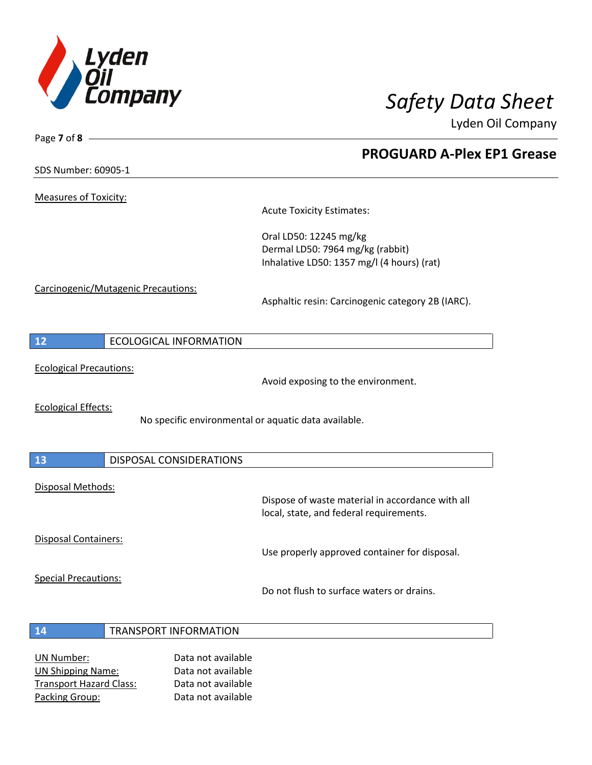

**PROGUARD A-Plex EP1 Grease**

Lyden Oil Company

SDS Number: 60905-1

Page **7** of **8**

Measures of Toxicity:

Acute Toxicity Estimates:

Oral LD50: 12245 mg/kg Dermal LD50: 7964 mg/kg (rabbit) Inhalative LD50: 1357 mg/l (4 hours) (rat)

Carcinogenic/Mutagenic Precautions:

Asphaltic resin: Carcinogenic category 2B (IARC).

| ECOLOGICAL INFORMATION |
|------------------------|
|------------------------|

Ecological Precautions:

Avoid exposing to the environment.

Ecological Effects:

No specific environmental or aquatic data available.

| $\overline{13}$   | DISPOSAL CONSIDERATIONS |                                                                                             |
|-------------------|-------------------------|---------------------------------------------------------------------------------------------|
| Disposal Methods: |                         | Dispose of waste material in accordance with all<br>local, state, and federal requirements. |

Disposal Containers:

Use properly approved container for disposal.

Special Precautions:

Do not flush to surface waters or drains.

- **14** TRANSPORT INFORMATION
- UN Number: Data not available UN Shipping Name: Data not available Transport Hazard Class: Data not available Packing Group: Data not available